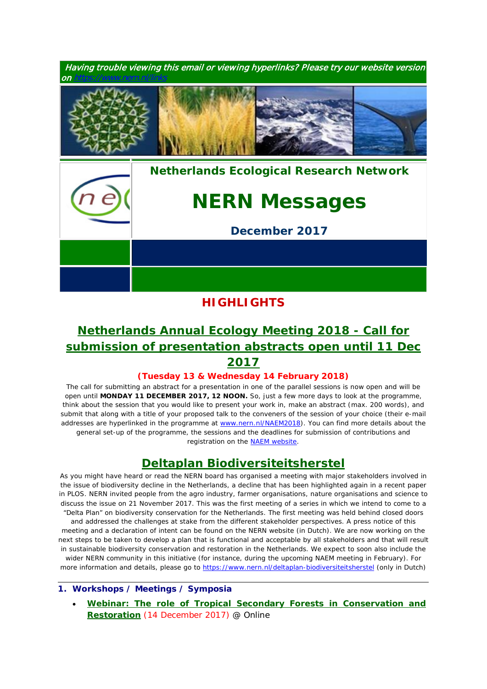

## **HIGHLIGHTS**

# *[Netherlands Annual Ecology Meeting 2018 -](https://www.nern.nl/NAEM2018) Call for [submission of presentation abstracts open](https://www.nern.nl/NAEM2018) until 11 Dec 2017*

### **(Tuesday 13 & Wednesday 14 February 2018)**

*The call for submitting an abstract for a presentation in one of the parallel sessions is now open and will be open until MONDAY 11 DECEMBER 2017, 12 NOON. So, just a few more days to look at the programme, think about the session that you would like to present your work in, make an abstract (max. 200 words), and submit that along with a title of your proposed talk to the conveners of the session of your choice (their e-mail addresses are hyperlinked in the programme at* [www.nern.nl/NAEM2018](http://www.nern.nl/NAEM2018)*). You can find more details about the general set-up of the programme, the sessions and the deadlines for submission of contributions and registration on the* [NAEM website](https://www.nern.nl/NAEM2018)*.*

## *Deltaplan Biodiversiteitsherstel*

*As you might have heard or read the NERN board has organised a meeting with major stakeholders involved in the issue of biodiversity decline in the Netherlands, a decline that has been highlighted again in a recent paper in PLOS. NERN invited people from the agro industry, farmer organisations, nature organisations and science to discuss the issue on 21 November 2017. This was the first meeting of a series in which we intend to come to a "Delta Plan" on biodiversity conservation for the Netherlands. The first meeting was held behind closed doors and addressed the challenges at stake from the different stakeholder perspectives. A press notice of this meeting and a declaration of intent can be found on the NERN website (in Dutch). We are now working on the next steps to be taken to develop a plan that is functional and acceptable by all stakeholders and that will result in sustainable biodiversity conservation and restoration in the Netherlands. We expect to soon also include the wider NERN community in this initiative (for instance, during the upcoming NAEM meeting in February). For more information and details, please go to <https://www.nern.nl/deltaplan-biodiversiteitsherstel> (only in Dutch)*

#### **1. Workshops / Meetings / Symposia**

• **[Webinar: The role of Tropical Secondary Forests in Conservation and](http://tropicalbiology.org/career-development/webinars/role-secondary-forests/)  [Restoration](http://tropicalbiology.org/career-development/webinars/role-secondary-forests/)** (14 December 2017) @ Online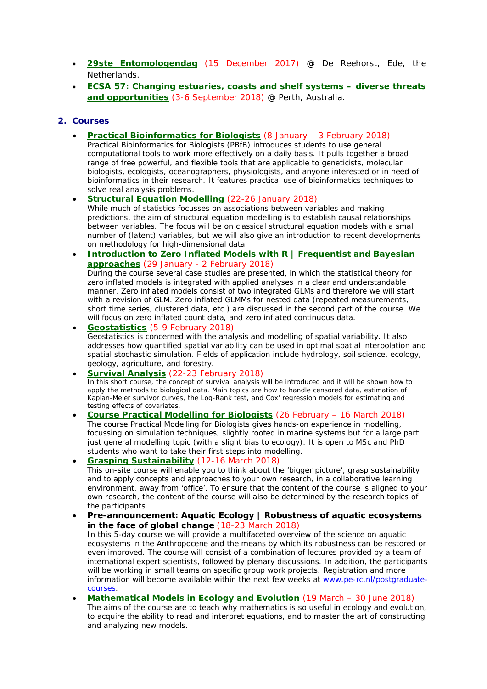- **[29ste Entomologendag](https://www.nern.nl/node/19275)** (15 December 2017) @ De Reehorst, Ede, the Netherlands.
- **[ECSA 57: Changing estuaries, coasts and shelf systems –](http://www.estuarinecoastalconference.com/) diverse threats [and opportunities](http://www.estuarinecoastalconference.com/)** (3-6 September 2018) @ Perth, Australia.

#### **2. Courses**

- **[Practical Bioinformatics for Biologists](http://www.rug.nl/research/ecology-and-evolution/phdcourses/practical-bioinformatics-for-biologists)** (8 January 3 February 2018) *Practical Bioinformatics for Biologists (PBfB) introduces students to use general computational tools to work more effectively on a daily basis. It pulls together a broad range of free powerful, and flexible tools that are applicable to geneticists, molecular biologists, ecologists, oceanographers, physiologists, and anyone interested or in need of bioinformatics in their research. It features practical use of bioinformatics techniques to solve real analysis problems.*
- **[Structural Equation Modelling](https://www.pe-rc.nl/SEM)** (22-26 January 2018) *While much of statistics focusses on associations between variables and making predictions, the aim of structural equation modelling is to establish causal relationships*  between variables. The focus will be on classical structural equation models with a small *number of (latent) variables, but we will also give an introduction to recent developments on methodology for high-dimensional data.*
- **Introduction to Zero Inflated Models with R | Frequentist and Bayesian [approaches](https://www.pe-rc.nl/glmm)** (29 January - 2 February 2018) *During the course several case studies are presented, in which the statistical theory for zero inflated models is integrated with applied analyses in a clear and understandable manner. Zero inflated models consist of two integrated GLMs and therefore we will start with a revision of GLM. Zero inflated GLMMs for nested data (repeated measurements, short time series, clustered data, etc.) are discussed in the second part of the course. We will focus on zero inflated count data, and zero inflated continuous data.*
- **[Geostatistics](https://www.pe-rc.nl/postgraduate-courses/geostatistics)** (5-9 February 2018) *Geostatistics is concerned with the analysis and modelling of spatial variability. It also addresses how quantified spatial variability can be used in optimal spatial interpolation and spatial stochastic simulation. Fields of application include hydrology, soil science, ecology, geology, agriculture, and forestry.*
- **[Survival Analysis](https://www.pe-rc.nl/survival-analysis)** (22-23 February 2018) *In this short course, the concept of survival analysis will be introduced and it will be shown how to*  apply the methods to biological data. Main topics are how to handle censored data, estimation of *Kaplan-Meier survivor curves, the Log-Rank test, and Cox' regression models for estimating and testing effects of covariates.*
- **[Course Practical Modelling for Biologists](https://www.nern.nl/sites/default/files/PMMB-flyer_2018.pdf)** (26 February 16 March 2018) *The course Practical Modelling for Biologists gives hands-on experience in modelling, focussing on simulation techniques, slightly rooted in marine systems but for a large part just general modelling topic (with a slight bias to ecology). It is open to MSc and PhD students who want to take their first steps into modelling.*

• **[Grasping Sustainability](http://www.sense.nl/courses/search/item/10844532/Grasping-Sustainability)** (12-16 March 2018) *This on-site course will enable you to think about the 'bigger picture', grasp sustainability and to apply concepts and approaches to your own research, in a collaborative learning environment, away from 'office'. To ensure that the content of the course is aligned to your own research, the content of the course will also be determined by the research topics of the participants.*

• **Pre-announcement: Aquatic Ecology | Robustness of aquatic ecosystems in the face of global change** (18-23 March 2018)

*In this 5-day course we will provide a multifaceted overview of the science on aquatic ecosystems in the Anthropocene and the means by which its robustness can be restored or*  even improved. The course will consist of a combination of lectures provided by a team of *international expert scientists, followed by plenary discussions. In addition, the participants will be working in small teams on specific group work projects. Registration and more information will become available within the next few weeks at [www.pe-rc.nl/postgraduate](http://www.pe-rc.nl/postgraduate-courses)[courses.](http://www.pe-rc.nl/postgraduate-courses)*

• **[Mathematical Models in Ecology and Evolution](http://www.rug.nl/research/ecology-and-evolution/phdcourses/mathematicalmodelsecologyevolution)** (19 March – 30 June 2018) *The aims of the course are to teach why mathematics is so useful in ecology and evolution, to acquire the ability to read and interpret equations, and to master the art of constructing and analyzing new models.*